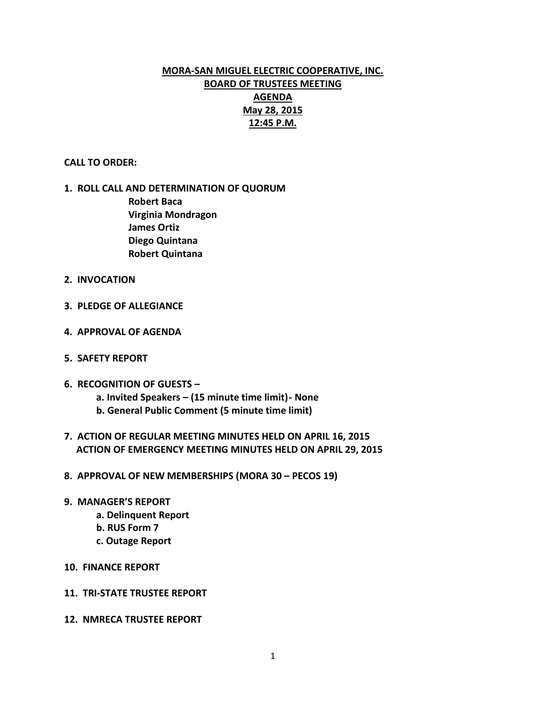# **MORA-SAN MIGUEL ELECTRIC COOPERATIVE, INC. BOARD OF TRUSTEES MEETING AGENDA May 28, 2015 12:45 P.M.**

#### **CALL TO ORDER:**

## **1. ROLL CALL AND DETERMINATION OF QUORUM Robert Baca Virginia Mondragon James Ortiz Diego Quintana Robert Quintana**

- **2. INVOCATION**
- **3. PLEDGE OF ALLEGIANCE**
- **4. APPROVAL OF AGENDA**
- **5. SAFETY REPORT**
- **6. RECOGNITION OF GUESTS –**
	- **a. Invited Speakers – (15 minute time limit)- None**
	- **b. General Public Comment (5 minute time limit)**
- **7. ACTION OF REGULAR MEETING MINUTES HELD ON APRIL 16, 2015 ACTION OF EMERGENCY MEETING MINUTES HELD ON APRIL 29, 2015**
- **8. APPROVAL OF NEW MEMBERSHIPS (MORA 30 – PECOS 19)**
- **9. MANAGER'S REPORT**
	- **a. Delinquent Report**
	- **b. RUS Form 7**
	- **c. Outage Report**
- **10. FINANCE REPORT**
- **11. TRI-STATE TRUSTEE REPORT**
- **12. NMRECA TRUSTEE REPORT**